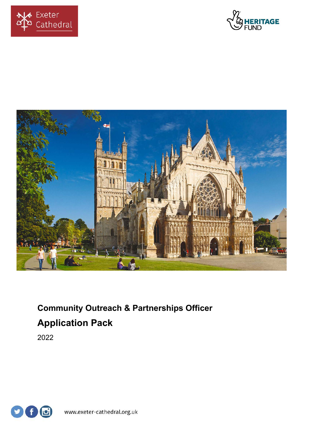





# **Community Outreach & Partnerships Officer Application Pack**

2022

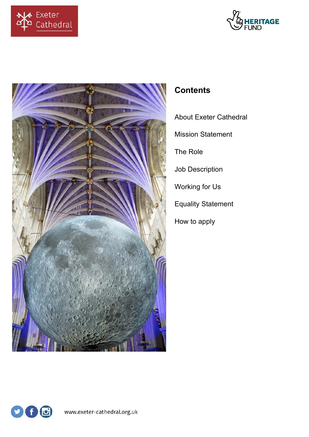





# **Contents**

- About Exeter Cathedral
- Mission Statement
- The Role
- Job Description
- Working for Us
- Equality Statement
- How to apply

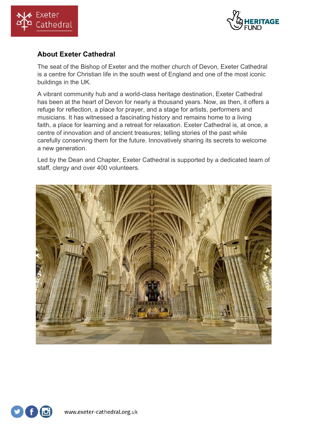



# **About Exeter Cathedral**

The seat of the Bishop of Exeter and the mother church of Devon, Exeter Cathedral is a centre for Christian life in the south west of England and one of the most iconic buildings in the UK.

A vibrant community hub and a world-class heritage destination, Exeter Cathedral has been at the heart of Devon for nearly a thousand years. Now, as then, it offers a refuge for reflection, a place for prayer, and a stage for artists, performers and musicians. It has witnessed a fascinating history and remains home to a living faith, a place for learning and a retreat for relaxation. Exeter Cathedral is, at once, a centre of innovation and of ancient treasures; telling stories of the past while carefully conserving them for the future. Innovatively sharing its secrets to welcome a new generation.

Led by the Dean and Chapter, Exeter Cathedral is supported by a dedicated team of staff, clergy and over 400 volunteers.



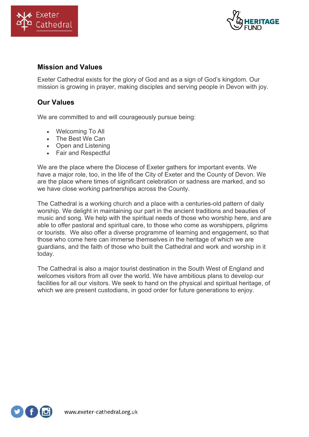



#### **Mission and Values**

Exeter Cathedral exists for the glory of God and as a sign of God's kingdom. Our mission is growing in prayer, making disciples and serving people in Devon with joy.

## **Our Values**

We are committed to and will courageously pursue being:

- Welcoming To All
- The Best We Can
- Open and Listening
- Fair and Respectful

We are the place where the Diocese of Exeter gathers for important events. We have a major role, too, in the life of the City of Exeter and the County of Devon. We are the place where times of significant celebration or sadness are marked, and so we have close working partnerships across the County.

The Cathedral is a working church and a place with a centuries-old pattern of daily worship. We delight in maintaining our part in the ancient traditions and beauties of music and song. We help with the spiritual needs of those who worship here, and are able to offer pastoral and spiritual care, to those who come as worshippers, pilgrims or tourists. We also offer a diverse programme of learning and engagement, so that those who come here can immerse themselves in the heritage of which we are guardians, and the faith of those who built the Cathedral and work and worship in it today.

The Cathedral is also a major tourist destination in the South West of England and welcomes visitors from all over the world. We have ambitious plans to develop our facilities for all our visitors. We seek to hand on the physical and spiritual heritage, of which we are present custodians, in good order for future generations to enjoy.

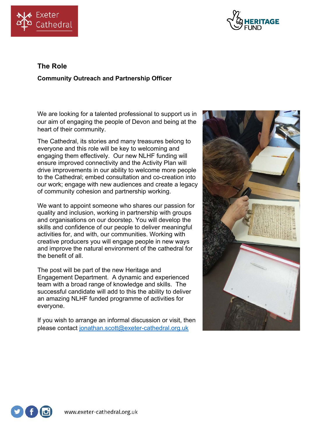



# **The Role**

#### **Community Outreach and Partnership Officer**

We are looking for a talented professional to support us in our aim of engaging the people of Devon and being at the heart of their community.

The Cathedral, its stories and many treasures belong to everyone and this role will be key to welcoming and engaging them effectively. Our new NLHF funding will ensure improved connectivity and the Activity Plan will drive improvements in our ability to welcome more people to the Cathedral; embed consultation and co-creation into our work; engage with new audiences and create a legacy of community cohesion and partnership working.

We want to appoint someone who shares our passion for quality and inclusion, working in partnership with groups and organisations on our doorstep. You will develop the skills and confidence of our people to deliver meaningful activities for, and with, our communities. Working with creative producers you will engage people in new ways and improve the natural environment of the cathedral for the benefit of all.

The post will be part of the new Heritage and Engagement Department. A dynamic and experienced team with a broad range of knowledge and skills. The successful candidate will add to this the ability to deliver an amazing NLHF funded programme of activities for everyone.

If you wish to arrange an informal discussion or visit, then please contact jonathan.scott@exeter-cathedral.org.uk



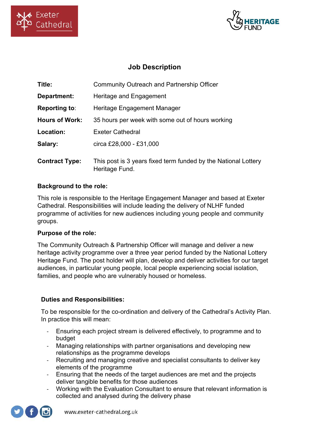



# **Job Description**

| Title:                | <b>Community Outreach and Partnership Officer</b>                                |
|-----------------------|----------------------------------------------------------------------------------|
| Department:           | Heritage and Engagement                                                          |
| <b>Reporting to:</b>  | Heritage Engagement Manager                                                      |
| <b>Hours of Work:</b> | 35 hours per week with some out of hours working                                 |
| Location:             | <b>Exeter Cathedral</b>                                                          |
| Salary:               | circa £28,000 - £31,000                                                          |
| <b>Contract Type:</b> | This post is 3 years fixed term funded by the National Lottery<br>Heritage Fund. |

#### **Background to the role:**

This role is responsible to the Heritage Engagement Manager and based at Exeter Cathedral. Responsibilities will include leading the delivery of NLHF funded programme of activities for new audiences including young people and community groups.

#### **Purpose of the role:**

The Community Outreach & Partnership Officer will manage and deliver a new heritage activity programme over a three year period funded by the National Lottery Heritage Fund. The post holder will plan, develop and deliver activities for our target audiences, in particular young people, local people experiencing social isolation, families, and people who are vulnerably housed or homeless.

#### **Duties and Responsibilities:**

To be responsible for the co-ordination and delivery of the Cathedral's Activity Plan. In practice this will mean:

- Ensuring each project stream is delivered effectively, to programme and to budget
- Managing relationships with partner organisations and developing new relationships as the programme develops
- Recruiting and managing creative and specialist consultants to deliver key elements of the programme
- Ensuring that the needs of the target audiences are met and the projects deliver tangible benefits for those audiences
- Working with the Evaluation Consultant to ensure that relevant information is collected and analysed during the delivery phase

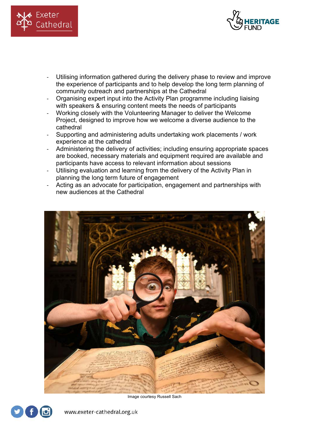



- Utilising information gathered during the delivery phase to review and improve the experience of participants and to help develop the long term planning of community outreach and partnerships at the Cathedral
- Organising expert input into the Activity Plan programme including liaising with speakers & ensuring content meets the needs of participants
- Working closely with the Volunteering Manager to deliver the Welcome Project, designed to improve how we welcome a diverse audience to the cathedral
- Supporting and administering adults undertaking work placements / work experience at the cathedral
- Administering the delivery of activities; including ensuring appropriate spaces are booked, necessary materials and equipment required are available and participants have access to relevant information about sessions
- Utilising evaluation and learning from the delivery of the Activity Plan in planning the long term future of engagement
- Acting as an advocate for participation, engagement and partnerships with new audiences at the Cathedral



Image courtesy Russell Sach

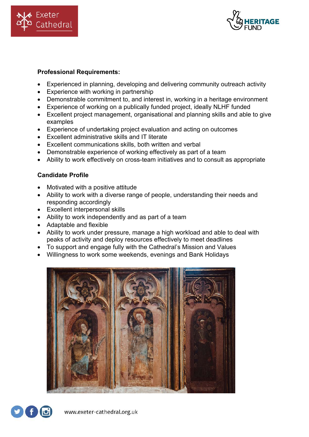



#### **Professional Requirements:**

- Experienced in planning, developing and delivering community outreach activity
- Experience with working in partnership
- Demonstrable commitment to, and interest in, working in a heritage environment
- Experience of working on a publically funded project, ideally NLHF funded
- Excellent project management, organisational and planning skills and able to give examples
- Experience of undertaking project evaluation and acting on outcomes
- Excellent administrative skills and IT literate
- Excellent communications skills, both written and verbal
- Demonstrable experience of working effectively as part of a team
- Ability to work effectively on cross-team initiatives and to consult as appropriate

#### **Candidate Profile**

- Motivated with a positive attitude
- Ability to work with a diverse range of people, understanding their needs and responding accordingly
- Excellent interpersonal skills
- Ability to work independently and as part of a team
- Adaptable and flexible
- Ability to work under pressure, manage a high workload and able to deal with peaks of activity and deploy resources effectively to meet deadlines
- To support and engage fully with the Cathedral's Mission and Values
- Willingness to work some weekends, evenings and Bank Holidays



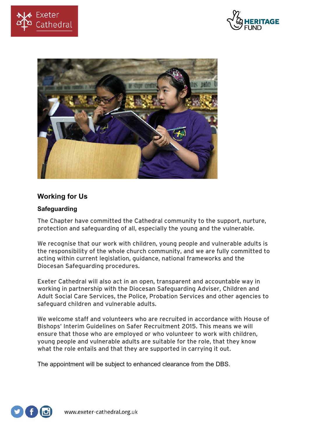





## **Working for Us**

#### **Safeguarding**

The Chapter have committed the Cathedral community to the support, nurture, protection and safeguarding of all, especially the young and the vulnerable.

We recognise that our work with children, young people and vulnerable adults is the responsibility of the whole church community, and we are fully committed to acting within current legislation, guidance, national frameworks and the Diocesan Safeguarding procedures.

Exeter Cathedral will also act in an open, transparent and accountable way in working in partnership with the Diocesan Safeguarding Adviser, Children and Adult Social Care Services, the Police, Probation Services and other agencies to safeguard children and vulnerable adults.

We welcome staff and volunteers who are recruited in accordance with House of Bishops' Interim Guidelines on Safer Recruitment 2015. This means we will ensure that those who are employed or who volunteer to work with children, young people and vulnerable adults are suitable for the role, that they know what the role entails and that they are supported in carrying it out.

The appointment will be subject to enhanced clearance from the DBS.

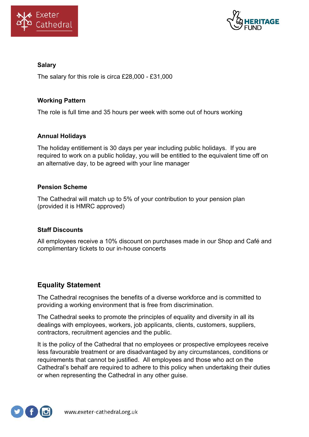



#### **Salary**

The salary for this role is circa £28,000 - £31,000

#### **Working Pattern**

The role is full time and 35 hours per week with some out of hours working

#### **Annual Holidays**

The holiday entitlement is 30 days per year including public holidays. If you are required to work on a public holiday, you will be entitled to the equivalent time off on an alternative day, to be agreed with your line manager

#### **Pension Scheme**

The Cathedral will match up to 5% of your contribution to your pension plan (provided it is HMRC approved)

#### **Staff Discounts**

All employees receive a 10% discount on purchases made in our Shop and Café and complimentary tickets to our in-house concerts

#### **Equality Statement**

The Cathedral recognises the benefits of a diverse workforce and is committed to providing a working environment that is free from discrimination.

The Cathedral seeks to promote the principles of equality and diversity in all its dealings with employees, workers, job applicants, clients, customers, suppliers, contractors, recruitment agencies and the public.

It is the policy of the Cathedral that no employees or prospective employees receive less favourable treatment or are disadvantaged by any circumstances, conditions or requirements that cannot be justified. All employees and those who act on the Cathedral's behalf are required to adhere to this policy when undertaking their duties or when representing the Cathedral in any other guise.